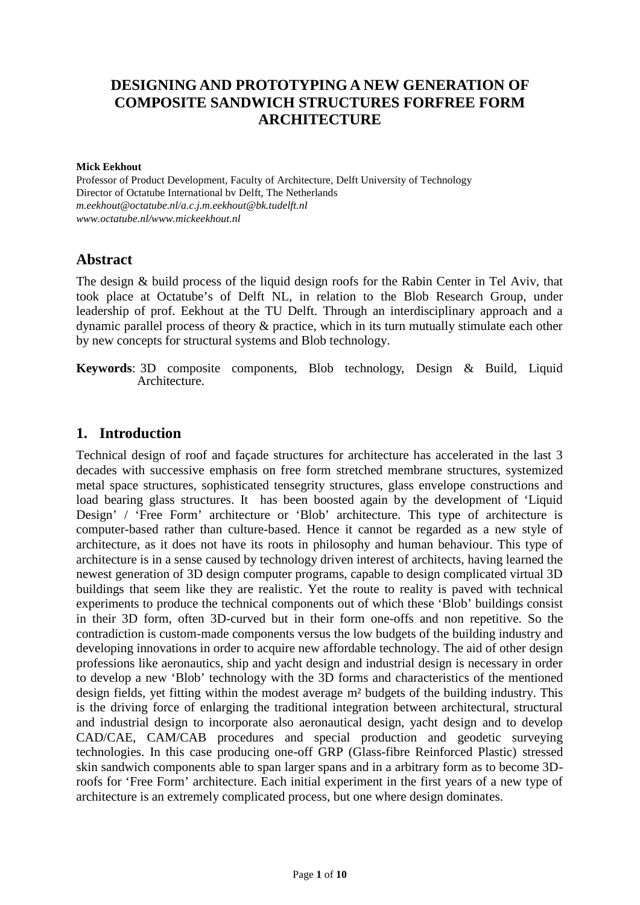## **DESIGNING AND PROTOTYPING A NEW GENERATION OF COMPOSITE SANDWICH STRUCTURES FORFREE FORM ARCHITECTURE**

#### **Mick Eekhout**

Professor of Product Development, Faculty of Architecture, Delft University of Technology Director of Octatube International bv Delft, The Netherlands *m.eekhout@octatube.nl/a.c.j.m.eekhout@bk.tudelft.nl www.octatube.nl/www.mickeekhout.nl*

#### **Abstract**

The design & build process of the liquid design roofs for the Rabin Center in Tel Aviv, that took place at Octatube's of Delft NL, in relation to the Blob Research Group, under leadership of prof. Eekhout at the TU Delft. Through an interdisciplinary approach and a dynamic parallel process of theory & practice, which in its turn mutually stimulate each other by new concepts for structural systems and Blob technology.

**Keywords**: 3D composite components, Blob technology, Design & Build, Liquid Architecture.

#### **1. Introduction**

Technical design of roof and façade structures for architecture has accelerated in the last 3 decades with successive emphasis on free form stretched membrane structures, systemized metal space structures, sophisticated tensegrity structures, glass envelope constructions and load bearing glass structures. It has been boosted again by the development of 'Liquid Design' / 'Free Form' architecture or 'Blob' architecture. This type of architecture is computer-based rather than culture-based. Hence it cannot be regarded as a new style of architecture, as it does not have its roots in philosophy and human behaviour. This type of architecture is in a sense caused by technology driven interest of architects, having learned the newest generation of 3D design computer programs, capable to design complicated virtual 3D buildings that seem like they are realistic. Yet the route to reality is paved with technical experiments to produce the technical components out of which these 'Blob' buildings consist in their 3D form, often 3D-curved but in their form one-offs and non repetitive. So the contradiction is custom-made components versus the low budgets of the building industry and developing innovations in order to acquire new affordable technology. The aid of other design professions like aeronautics, ship and yacht design and industrial design is necessary in order to develop a new 'Blob' technology with the 3D forms and characteristics of the mentioned design fields, yet fitting within the modest average m² budgets of the building industry. This is the driving force of enlarging the traditional integration between architectural, structural and industrial design to incorporate also aeronautical design, yacht design and to develop CAD/CAE, CAM/CAB procedures and special production and geodetic surveying technologies. In this case producing one-off GRP (Glass-fibre Reinforced Plastic) stressed skin sandwich components able to span larger spans and in a arbitrary form as to become 3Droofs for 'Free Form' architecture. Each initial experiment in the first years of a new type of architecture is an extremely complicated process, but one where design dominates.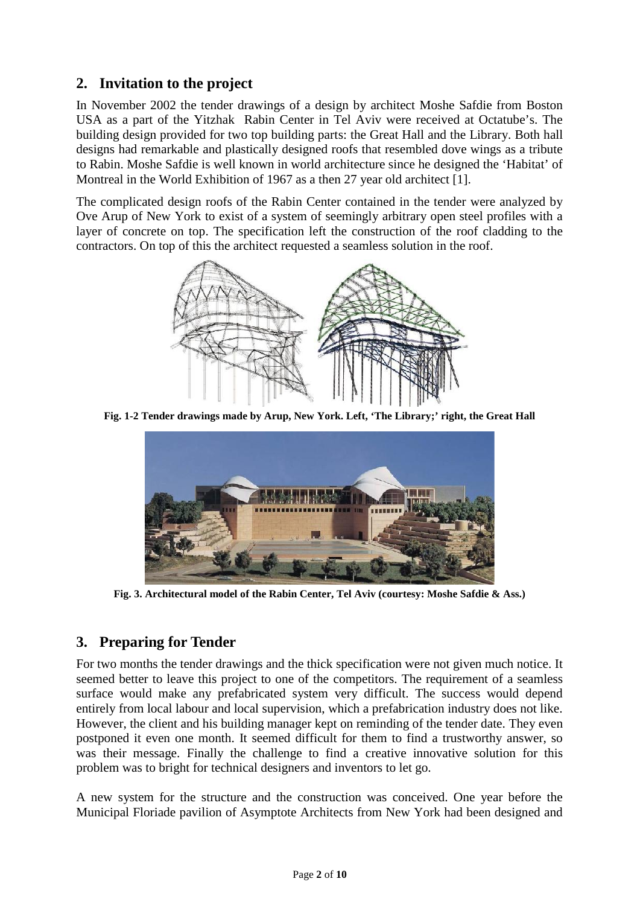## **2. Invitation to the project**

In November 2002 the tender drawings of a design by architect Moshe Safdie from Boston USA as a part of the Yitzhak Rabin Center in Tel Aviv were received at Octatube's. The building design provided for two top building parts: the Great Hall and the Library. Both hall designs had remarkable and plastically designed roofs that resembled dove wings as a tribute to Rabin. Moshe Safdie is well known in world architecture since he designed the 'Habitat' of Montreal in the World Exhibition of 1967 as a then 27 year old architect [1].

The complicated design roofs of the Rabin Center contained in the tender were analyzed by Ove Arup of New York to exist of a system of seemingly arbitrary open steel profiles with a layer of concrete on top. The specification left the construction of the roof cladding to the contractors. On top of this the architect requested a seamless solution in the roof.



**Fig. 1-2 Tender drawings made by Arup, New York. Left, 'The Library;' right, the Great Hall**



**Fig. 3. Architectural model of the Rabin Center, Tel Aviv (courtesy: Moshe Safdie & Ass.)**

## **3. Preparing for Tender**

For two months the tender drawings and the thick specification were not given much notice. It seemed better to leave this project to one of the competitors. The requirement of a seamless surface would make any prefabricated system very difficult. The success would depend entirely from local labour and local supervision, which a prefabrication industry does not like. However, the client and his building manager kept on reminding of the tender date. They even postponed it even one month. It seemed difficult for them to find a trustworthy answer, so was their message. Finally the challenge to find a creative innovative solution for this problem was to bright for technical designers and inventors to let go.

A new system for the structure and the construction was conceived. One year before the Municipal Floriade pavilion of Asymptote Architects from New York had been designed and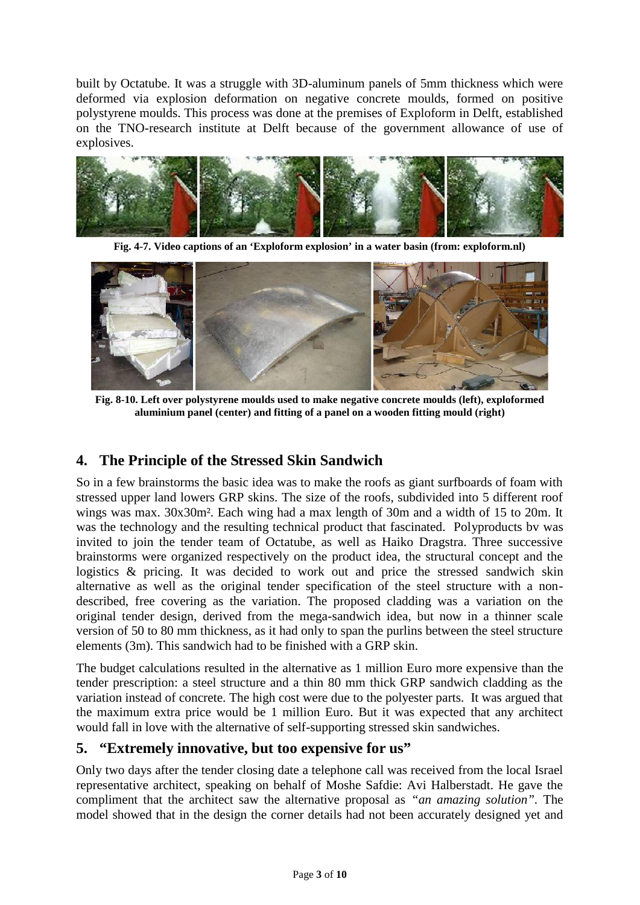built by Octatube. It was a struggle with 3D-aluminum panels of 5mm thickness which were deformed via explosion deformation on negative concrete moulds, formed on positive polystyrene moulds. This process was done at the premises of Exploform in Delft, established on the TNO-research institute at Delft because of the government allowance of use of explosives.



**Fig. 4-7. Video captions of an 'Exploform explosion' in a water basin (from: exploform.nl)**



**Fig. 8-10. Left over polystyrene moulds used to make negative concrete moulds (left), exploformed aluminium panel (center) and fitting of a panel on a wooden fitting mould (right)**

#### **4. The Principle of the Stressed Skin Sandwich**

So in a few brainstorms the basic idea was to make the roofs as giant surfboards of foam with stressed upper land lowers GRP skins. The size of the roofs, subdivided into 5 different roof wings was max. 30x30m². Each wing had a max length of 30m and a width of 15 to 20m. It was the technology and the resulting technical product that fascinated. Polyproducts bv was invited to join the tender team of Octatube, as well as Haiko Dragstra. Three successive brainstorms were organized respectively on the product idea, the structural concept and the logistics & pricing. It was decided to work out and price the stressed sandwich skin alternative as well as the original tender specification of the steel structure with a non described, free covering as the variation. The proposed cladding was a variation on the original tender design, derived from the mega-sandwich idea, but now in a thinner scale version of 50 to 80 mm thickness, as it had only to span the purlins between the steel structure elements (3m). This sandwich had to be finished with a GRP skin.

The budget calculations resulted in the alternative as 1 million Euro more expensive than the tender prescription: a steel structure and a thin 80 mm thick GRP sandwich cladding as the variation instead of concrete. The high cost were due to the polyester parts. It was argued that the maximum extra price would be 1 million Euro. But it was expected that any architect would fall in love with the alternative of self-supporting stressed skin sandwiches.

#### **5. "Extremely innovative, but too expensive for us"**

Only two days after the tender closing date a telephone call was received from the local Israel representative architect, speaking on behalf of Moshe Safdie: Avi Halberstadt. He gave the compliment that the architect saw the alternative proposal as *"an amazing solution".* The model showed that in the design the corner details had not been accurately designed yet and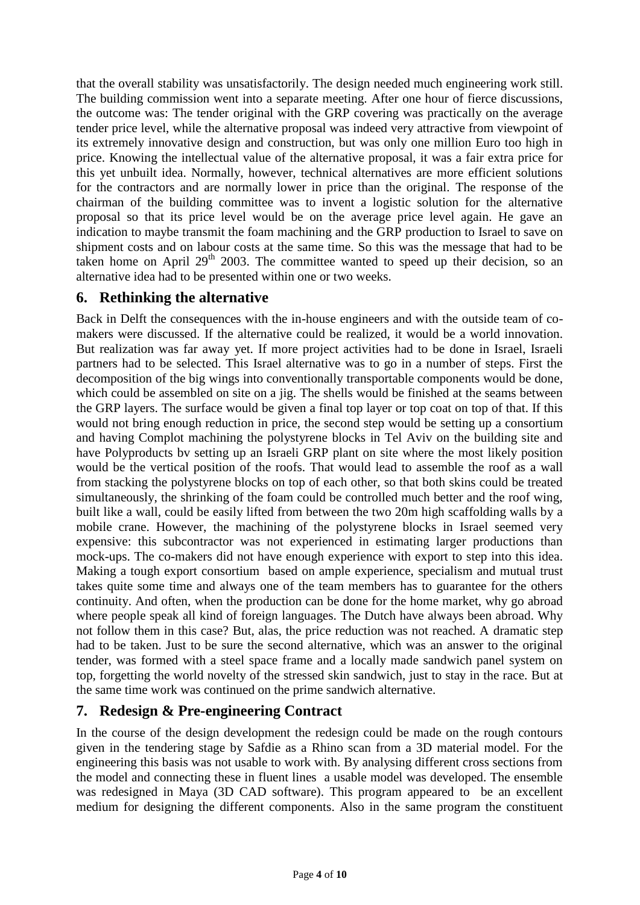that the overall stability was unsatisfactorily. The design needed much engineering work still. The building commission went into a separate meeting. After one hour of fierce discussions, the outcome was: The tender original with the GRP covering was practically on the average tender price level, while the alternative proposal was indeed very attractive from viewpoint of its extremely innovative design and construction, but was only one million Euro too high in price. Knowing the intellectual value of the alternative proposal, it was a fair extra price for this yet unbuilt idea. Normally, however, technical alternatives are more efficient solutions for the contractors and are normally lower in price than the original. The response of the chairman of the building committee was to invent a logistic solution for the alternative proposal so that its price level would be on the average price level again. He gave an indication to maybe transmit the foam machining and the GRP production to Israel to save on shipment costs and on labour costs at the same time. So this was the message that had to be taken home on April 29<sup>th</sup> 2003. The committee wanted to speed up their decision, so an alternative idea had to be presented within one or two weeks.

## **6. Rethinking the alternative**

Back in Delft the consequences with the in-house engineers and with the outside team of co makers were discussed. If the alternative could be realized, it would be a world innovation. But realization was far away yet. If more project activities had to be done in Israel, Israeli partners had to be selected. This Israel alternative was to go in a number of steps. First the decomposition of the big wings into conventionally transportable components would be done, which could be assembled on site on a jig. The shells would be finished at the seams between the GRP layers. The surface would be given a final top layer or top coat on top of that. If this would not bring enough reduction in price, the second step would be setting up a consortium and having Complot machining the polystyrene blocks in Tel Aviv on the building site and have Polyproducts bv setting up an Israeli GRP plant on site where the most likely position would be the vertical position of the roofs. That would lead to assemble the roof as a wall from stacking the polystyrene blocks on top of each other, so that both skins could be treated simultaneously, the shrinking of the foam could be controlled much better and the roof wing, built like a wall, could be easily lifted from between the two 20m high scaffolding walls by a mobile crane. However, the machining of the polystyrene blocks in Israel seemed very expensive: this subcontractor was not experienced in estimating larger productions than mock-ups. The co-makers did not have enough experience with export to step into this idea. Making a tough export consortium based on ample experience, specialism and mutual trust takes quite some time and always one of the team members has to guarantee for the others continuity. And often, when the production can be done for the home market, why go abroad where people speak all kind of foreign languages. The Dutch have always been abroad. Why not follow them in this case? But, alas, the price reduction was not reached. A dramatic step had to be taken. Just to be sure the second alternative, which was an answer to the original tender, was formed with a steel space frame and a locally made sandwich panel system on top, forgetting the world novelty of the stressed skin sandwich, just to stay in the race. But at the same time work was continued on the prime sandwich alternative.

## **7. Redesign & Pre-engineering Contract**

In the course of the design development the redesign could be made on the rough contours given in the tendering stage by Safdie as a Rhino scan from a 3D material model. For the engineering this basis was not usable to work with. By analysing different cross sections from the model and connecting these in fluent lines a usable model was developed. The ensemble was redesigned in Maya (3D CAD software). This program appeared to be an excellent medium for designing the different components. Also in the same program the constituent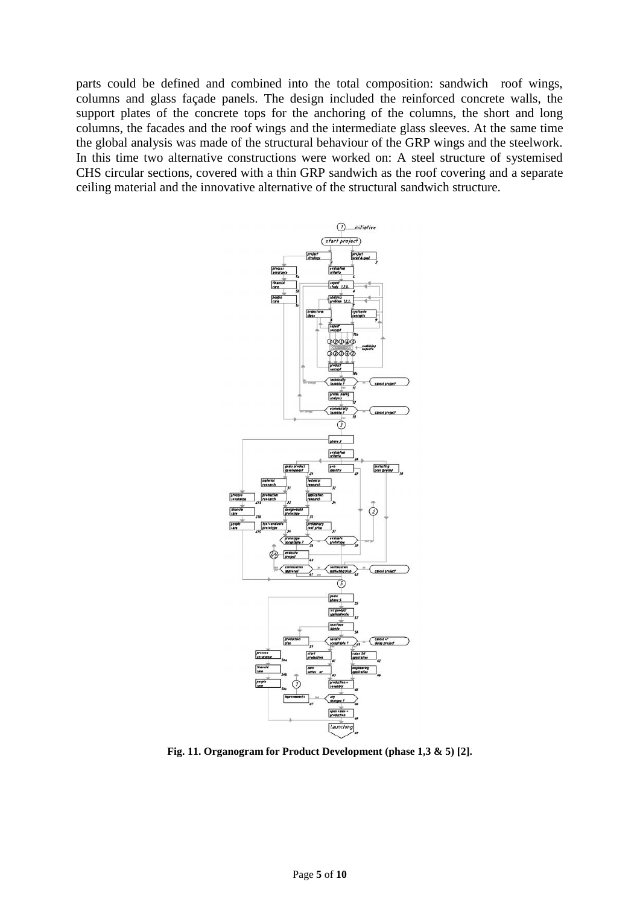parts could be defined and combined into the total composition: sandwich roof wings, columns and glass façade panels. The design included the reinforced concrete walls, the support plates of the concrete tops for the anchoring of the columns, the short and long columns, the facades and the roof wings and the intermediate glass sleeves. At the same time the global analysis was made of the structural behaviour of the GRP wings and the steelwork. In this time two alternative constructions were worked on: A steel structure of systemised CHS circular sections, covered with a thin GRP sandwich as the roof covering and a separate ceiling material and the innovative alternative of the structural sandwich structure.



**Fig. 11. Organogram for Product Development (phase 1,3 & 5) [2].**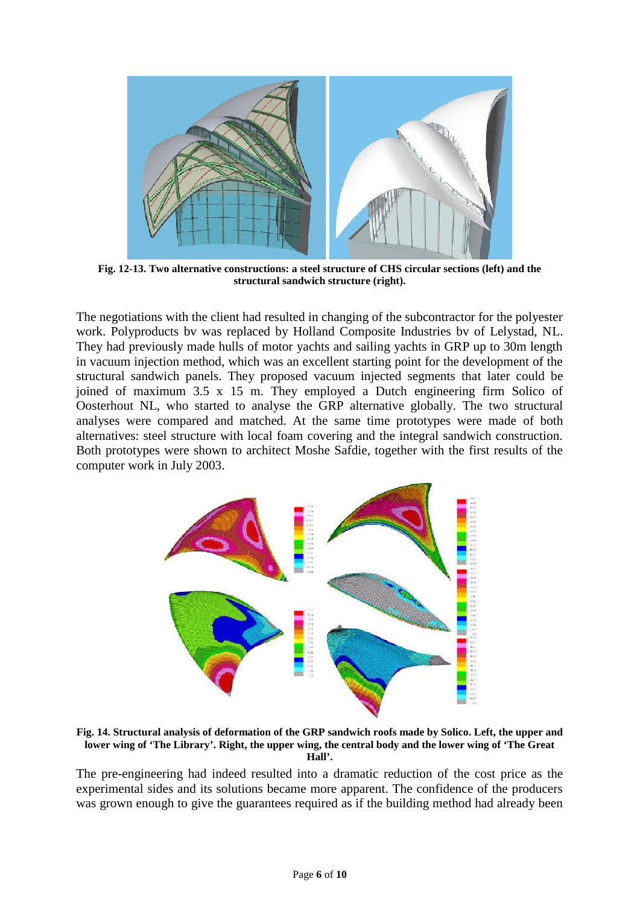

**Fig. 12-13. Two alternative constructions: a steel structure of CHS circular sections (left) and the structural sandwich structure (right).**

The negotiations with the client had resulted in changing of the subcontractor for the polyester work. Polyproducts bv was replaced by Holland Composite Industries bv of Lelystad, NL. They had previously made hulls of motor yachts and sailing yachts in GRP up to 30m length in vacuum injection method, which was an excellent starting point for the development of the structural sandwich panels. They proposed vacuum injected segments that later could be joined of maximum 3.5 x 15 m. They employed a Dutch engineering firm Solico of Oosterhout NL, who started to analyse the GRP alternative globally. The two structural analyses were compared and matched. At the same time prototypes were made of both alternatives: steel structure with local foam covering and the integral sandwich construction. Both prototypes were shown to architect Moshe Safdie, together with the first results of the computer work in July 2003.



**Fig. 14. Structural analysis of deformation of the GRP sandwich roofs made by Solico. Left, the upper and lower wing of 'The Library'. Right, the upper wing, the central body and the lower wing of 'The Great Hall'.**

The pre-engineering had indeed resulted into a dramatic reduction of the cost price as the experimental sides and its solutions became more apparent. The confidence of the producers was grown enough to give the guarantees required as if the building method had already been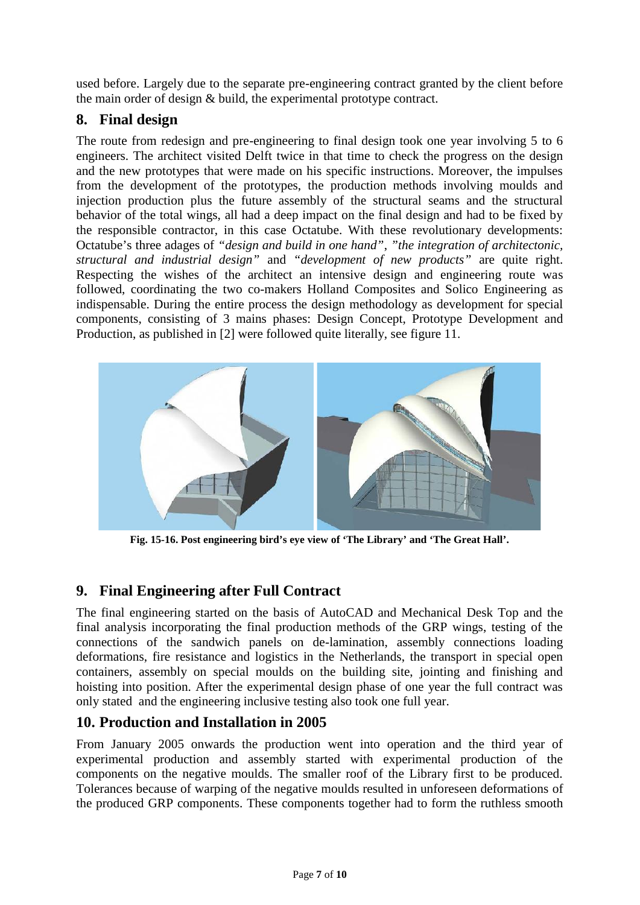used before. Largely due to the separate pre-engineering contract granted by the client before the main order of design & build, the experimental prototype contract.

## **8. Final design**

The route from redesign and pre-engineering to final design took one year involving 5 to 6 engineers. The architect visited Delft twice in that time to check the progress on the design and the new prototypes that were made on his specific instructions. Moreover, the impulses from the development of the prototypes, the production methods involving moulds and injection production plus the future assembly of the structural seams and the structural behavior of the total wings, all had a deep impact on the final design and had to be fixed by the responsible contractor, in this case Octatube. With these revolutionary developments: Octatube's three adages of *"design and build in one hand"*, *"the integration of architectonic, structural and industrial design"* and *"development of new products"* are quite right. Respecting the wishes of the architect an intensive design and engineering route was followed, coordinating the two co-makers Holland Composites and Solico Engineering as indispensable. During the entire process the design methodology as development for special components, consisting of 3 mains phases: Design Concept, Prototype Development and Production, as published in [2] were followed quite literally, see figure 11.



**Fig. 15-16. Post engineering bird's eye view of 'The Library' and 'The Great Hall'.**

# **9. Final Engineering after Full Contract**

The final engineering started on the basis of AutoCAD and Mechanical Desk Top and the final analysis incorporating the final production methods of the GRP wings, testing of the connections of the sandwich panels on de-lamination, assembly connections loading deformations, fire resistance and logistics in the Netherlands, the transport in special open containers, assembly on special moulds on the building site, jointing and finishing and hoisting into position. After the experimental design phase of one year the full contract was only stated and the engineering inclusive testing also took one full year.

## **10. Production and Installation in 2005**

From January 2005 onwards the production went into operation and the third year of experimental production and assembly started with experimental production of the components on the negative moulds. The smaller roof of the Library first to be produced. Tolerances because of warping of the negative moulds resulted in unforeseen deformations of the produced GRP components. These components together had to form the ruthless smooth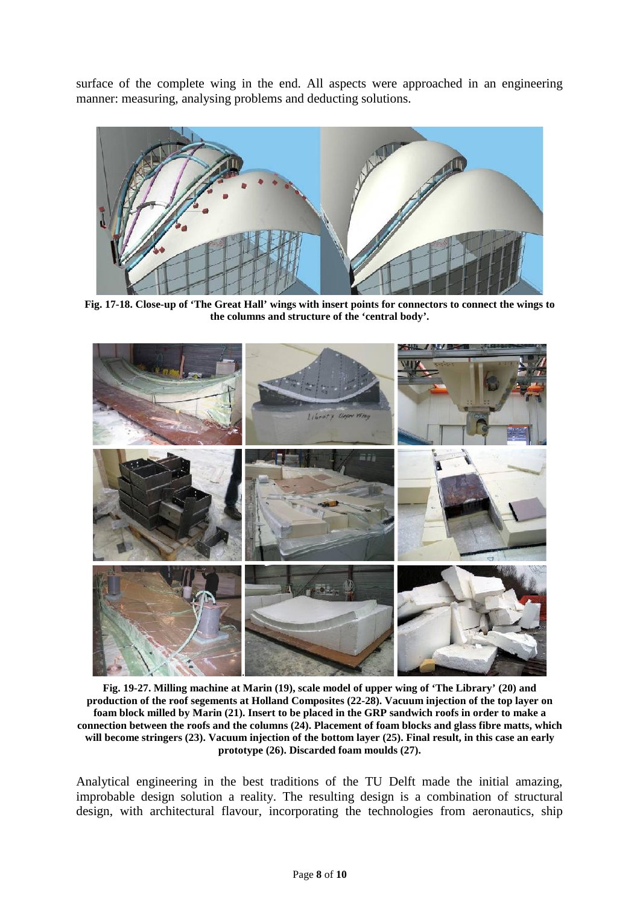surface of the complete wing in the end. All aspects were approached in an engineering manner: measuring, analysing problems and deducting solutions.



**Fig. 17-18. Close-up of 'The Great Hall' wings with insert points for connectors to connect the wings to the columns and structure of the 'central body'.**



**Fig. 19-27. Milling machine at Marin (19), scale model of upper wing of 'The Library' (20) and production of the roof segements at Holland Composites (22-28). Vacuum injection of the top layer on foam block milled by Marin (21). Insert to be placed in the GRP sandwich roofs in order to make a connection between the roofs and the columns (24). Placement of foam blocks and glass fibre matts, which will become stringers (23). Vacuum injection of the bottom layer (25). Final result, in this case an early prototype (26). Discarded foam moulds (27).**

Analytical engineering in the best traditions of the TU Delft made the initial amazing, improbable design solution a reality. The resulting design is a combination of structural design, with architectural flavour, incorporating the technologies from aeronautics, ship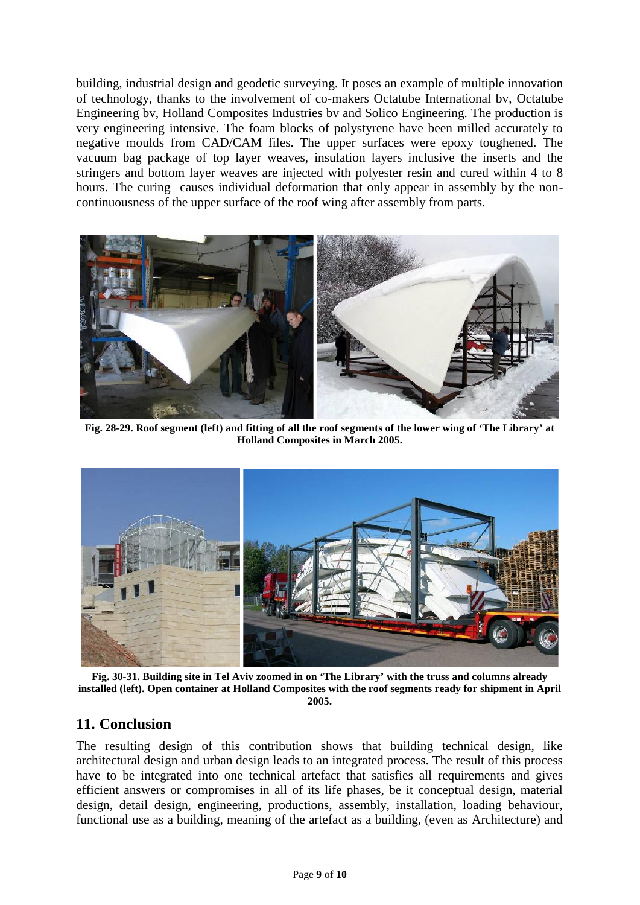building, industrial design and geodetic surveying. It poses an example of multiple innovation of technology, thanks to the involvement of co-makers Octatube International bv, Octatube Engineering bv, Holland Composites Industries bv and Solico Engineering. The production is very engineering intensive. The foam blocks of polystyrene have been milled accurately to negative moulds from CAD/CAM files. The upper surfaces were epoxy toughened. The vacuum bag package of top layer weaves, insulation layers inclusive the inserts and the stringers and bottom layer weaves are injected with polyester resin and cured within 4 to 8 hours. The curing causes individual deformation that only appear in assembly by the non continuousness of the upper surface of the roof wing after assembly from parts.



**Fig. 28-29. Roof segment (left) and fitting of all the roof segments of the lower wing of 'The Library' at Holland Composites in March 2005.**



**Fig. 30-31. Building site in Tel Aviv zoomed in on 'The Library' with the truss and columns already installed (left). Open container at Holland Composites with the roof segments ready for shipment in April 2005.**

#### **11. Conclusion**

The resulting design of this contribution shows that building technical design, like architectural design and urban design leads to an integrated process. The result of this process have to be integrated into one technical artefact that satisfies all requirements and gives efficient answers or compromises in all of its life phases, be it conceptual design, material design, detail design, engineering, productions, assembly, installation, loading behaviour, functional use as a building, meaning of the artefact as a building, (even as Architecture) and